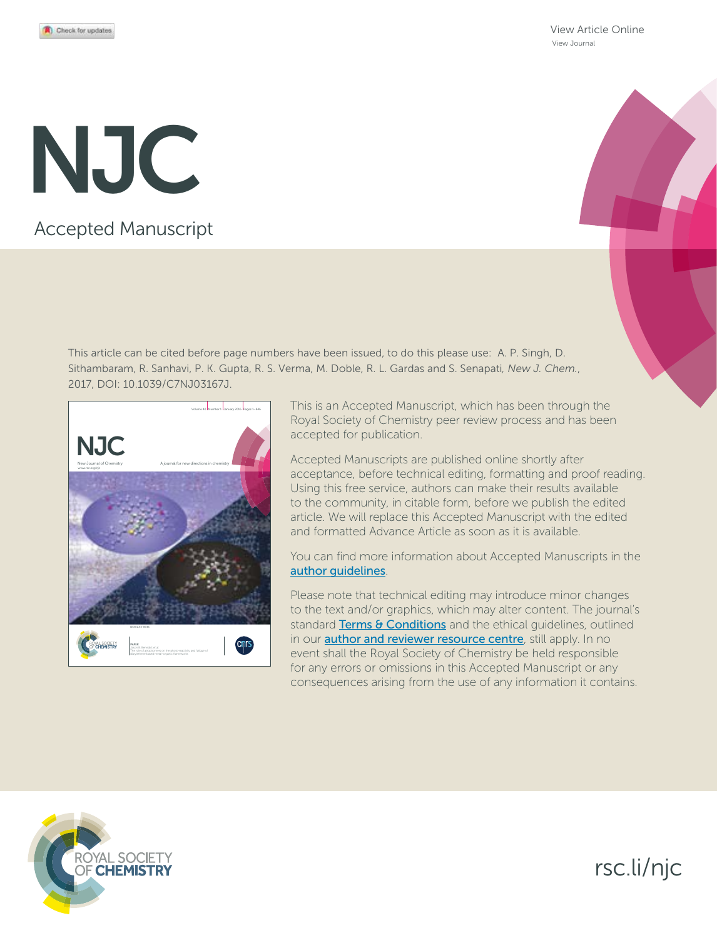View Article Online View Journal

# Accepted Manuscript NJC

This article can be cited before page numbers have been issued, to do this please use: A. P. Singh, D. Sithambaram, R. Sanhavi, P. K. Gupta, R. S. Verma, M. Doble, R. L. Gardas and S. Senapati*, New J. Chem.*, 2017, DOI: 10.1039/C7NJ03167J.



This is an Accepted Manuscript, which has been through the Royal Society of Chemistry peer review process and has been accepted for publication.

Accepted Manuscripts are published online shortly after acceptance, before technical editing, formatting and proof reading. Using this free service, authors can make their results available to the community, in citable form, before we publish the edited article. We will replace this Accepted Manuscript with the edited and formatted Advance Article as soon as it is available.

You can find more information about Accepted Manuscripts in the author guidelines.

Please note that technical editing may introduce minor changes to the text and/or graphics, which may alter content. The journal's standard Terms & Conditions and the ethical guidelines, outlined in our **author and reviewer resource centre**, still apply. In no event shall the Royal Society of Chemistry be held responsible for any errors or omissions in this Accepted Manuscript or any consequences arising from the use of any information it contains.



# rsc.li/njc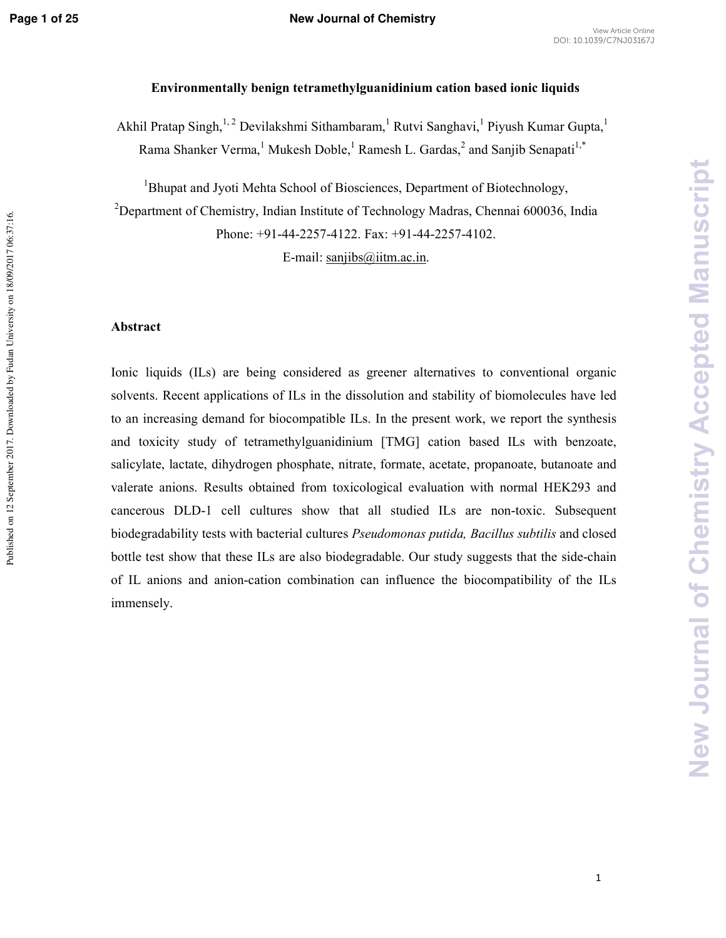### **Environmentally benign tetramethylguanidinium cation based ionic liquids**

Akhil Pratap Singh,<sup>1,2</sup> Devilakshmi Sithambaram,<sup>1</sup> Rutvi Sanghavi,<sup>1</sup> Piyush Kumar Gupta,<sup>1</sup> Rama Shanker Verma, <sup>1</sup> Mukesh Doble, <sup>1</sup> Ramesh L. Gardas, <sup>2</sup> and Sanjib Senapati<sup>1,\*</sup>

<sup>1</sup>Bhupat and Jyoti Mehta School of Biosciences, Department of Biotechnology, <sup>2</sup>Department of Chemistry, Indian Institute of Technology Madras, Chennai 600036, India Phone: +91-44-2257-4122. Fax: +91-44-2257-4102.

E-mail:  $saniibs@iitm.ac.in$ .

#### Abstract

Ionic liquids (ILs) are being considered as greener alternatives to conventional organic solvents. Recent applications of ILs in the dissolution and stability of biomolecules have led to an increasing demand for biocompatible ILs. In the present work, we report the synthesis and toxicity study of tetramethylguanidinium [TMG] cation based ILs with benzoate, salicylate, lactate, dihydrogen phosphate, nitrate, formate, acetate, propanoate, butanoate and valerate anions. Results obtained from toxicological evaluation with normal HEK293 and cancerous DLD-1 cell cultures show that all studied ILs are non-toxic. Subsequent biodegradability tests with bacterial cultures *Pseudomonas putida, Bacillus subtilis* and closed bottle test show that these ILs are also biodegradable. Our study suggests that the side-chain of IL anions and anion-cation combination can influence the biocompatibility of the ILs immensely.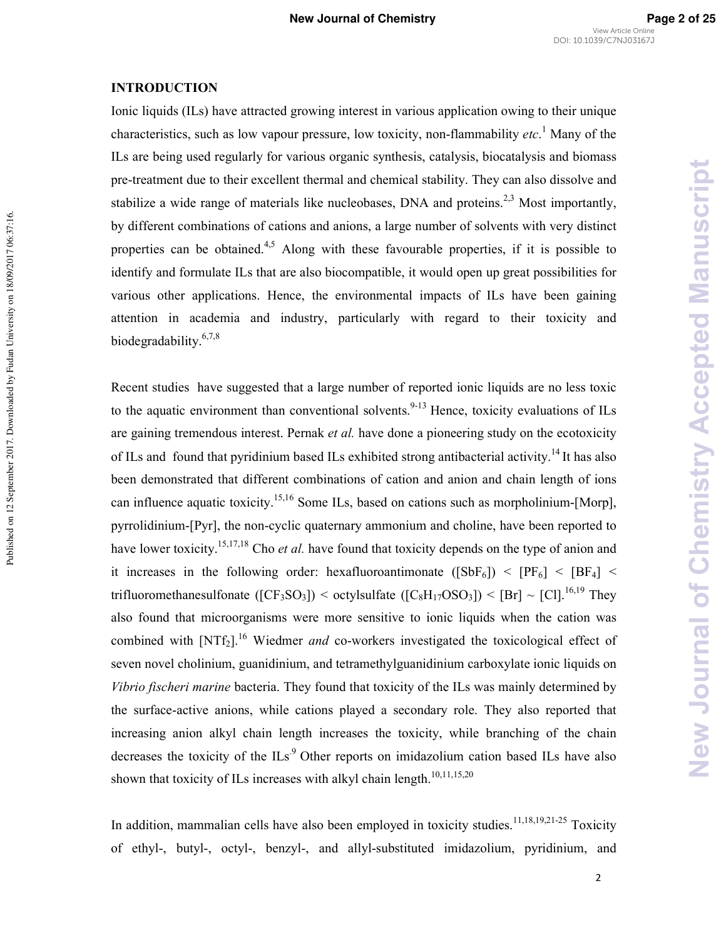# **INTRODUCTION**

Published on 12 September 2017. Downloaded by Fudan University on 18/09/2017 06:37:16.

Published on 12 September 2017. Downloaded by Fudan University on 18/09/2017 06:37:16.

Ionic liquids (ILs) have attracted growing interest in various application owing to their unique characteristics, such as low vapour pressure, low toxicity, non-flammability *etc*.<sup>1</sup> Many of the ILs are being used regularly for various organic synthesis, catalysis, biocatalysis and biomass pre-treatment due to their excellent thermal and chemical stability. They can also dissolve and stabilize a wide range of materials like nucleobases, DNA and proteins.<sup>2,3</sup> Most importantly, by different combinations of cations and anions, a large number of solvents with very distinct properties can be obtained.<sup>4,5</sup> Along with these favourable properties, if it is possible to identify and formulate ILs that are also biocompatible, it would open up great possibilities for various other applications. Hence, the environmental impacts of ILs have been gaining attention in academia and industry, particularly with regard to their toxicity and biodegradability.6,7,8

Recent studies have suggested that a large number of reported ionic liquids are no less toxic to the aquatic environment than conventional solvents.<sup>9-13</sup> Hence, toxicity evaluations of ILs are gaining tremendous interest. Pernak et al. have done a pioneering study on the ecotoxicity of ILs and found that pyridinium based ILs exhibited strong antibacterial activity.<sup>14</sup> It has also been demonstrated that different combinations of cation and anion and chain length of ions can influence aquatic toxicity.<sup>15,16</sup> Some ILs, based on cations such as morpholinium-[Morp], pyrrolidinium-[Pyr], the non-cyclic quaternary ammonium and choline, have been reported to have lower toxicity.<sup>15,17,18</sup> Cho *et al*. have found that toxicity depends on the type of anion and it increases in the following order: hexafluoroantimonate ( $[SbF_6]$ ) <  $[PF_6]$  <  $[BF_4]$  < trifluoromethanesulfonate ( $[CF_3SO_3]$ ) < octylsulfate ( $[C_8H_{17}OSO_3]$ ) <  $[Br] \sim [Cl]$ .<sup>16,19</sup> They also found that microorganisms were more sensitive to ionic liquids when the cation was combined with [NTf<sub>2</sub>].<sup>16</sup> Wiedmer *and* co-workers investigated the toxicological effect of seven novel cholinium, guanidinium, and tetramethylguanidinium carboxylate ionic liquids on Vibrio fischeri marine bacteria. They found that toxicity of the ILs was mainly determined by the surface-active anions, while cations played a secondary role. They also reported that increasing anion alkyl chain length increases the toxicity, while branching of the chain decreases the toxicity of the  $ILs<sup>9</sup>$  Other reports on imidazolium cation based ILs have also shown that toxicity of ILs increases with alkyl chain length.<sup>10,11,15,20</sup>

In addition, mammalian cells have also been employed in toxicity studies.<sup>11,18,19,21-25</sup> Toxicity of ethyl-, butyl-, octyl-, benzyl-, and allyl-substituted imidazolium, pyridinium, and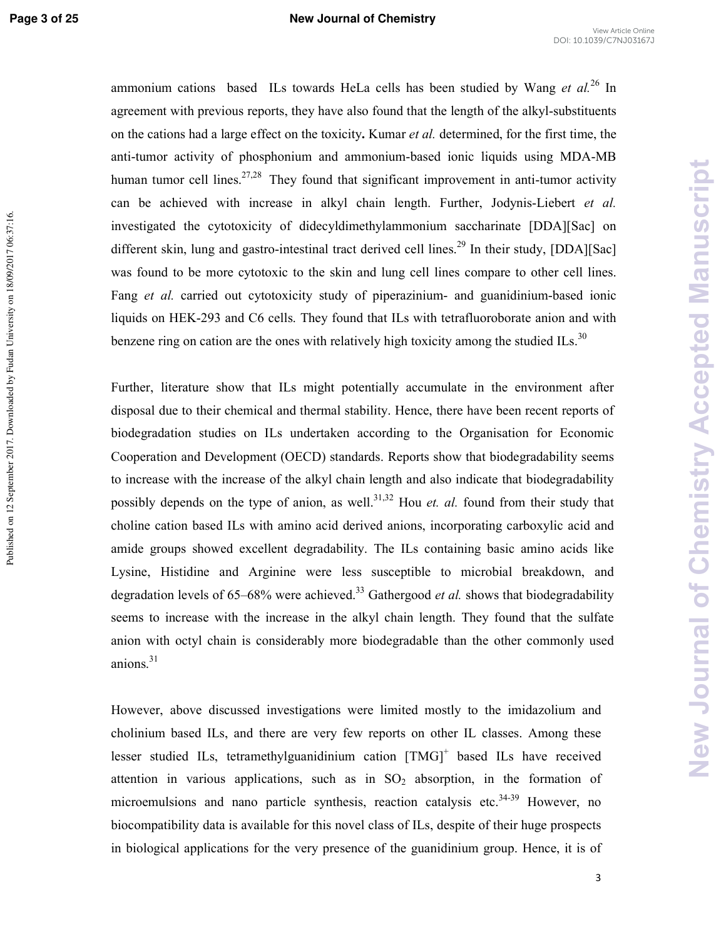Published on 12 September 2017. Downloaded by Fudan University on 18/09/2017 06:37:16.

#### **Page 3 of 25 New Journal of Chemistry**

ammonium cations based ILs towards HeLa cells has been studied by Wang et al.<sup>26</sup> In agreement with previous reports, they have also found that the length of the alkyl-substituents on the cations had a large effect on the toxicity. Kumar *et al*. determined, for the first time, the anti-tumor activity of phosphonium and ammonium-based ionic liquids using MDA-MB human tumor cell lines.<sup>27,28</sup> They found that significant improvement in anti-tumor activity can be achieved with increase in alkyl chain length. Further, Jodynis-Liebert et al. investigated the cytotoxicity of didecyldimethylammonium saccharinate [DDA][Sac] on different skin, lung and gastro-intestinal tract derived cell lines.<sup>29</sup> In their study, [DDA][Sac] was found to be more cytotoxic to the skin and lung cell lines compare to other cell lines. Fang et al. carried out cytotoxicity study of piperazinium- and guanidinium-based ionic liquids on HEK-293 and C6 cells. They found that ILs with tetrafluoroborate anion and with benzene ring on cation are the ones with relatively high toxicity among the studied ILs. $30$ 

Further, literature show that ILs might potentially accumulate in the environment after disposal due to their chemical and thermal stability. Hence, there have been recent reports of biodegradation studies on ILs undertaken according to the Organisation for Economic Cooperation and Development (OECD) standards. Reports show that biodegradability seems to increase with the increase of the alkyl chain length and also indicate that biodegradability possibly depends on the type of anion, as well.<sup>31,32</sup> Hou *et. al.* found from their study that choline cation based ILs with amino acid derived anions, incorporating carboxylic acid and amide groups showed excellent degradability. The ILs containing basic amino acids like Lysine, Histidine and Arginine were less susceptible to microbial breakdown, and degradation levels of 65–68% were achieved.<sup>33</sup> Gathergood *et al*. shows that biodegradability seems to increase with the increase in the alkyl chain length. They found that the sulfate anion with octyl chain is considerably more biodegradable than the other commonly used anions. $31$ 

However, above discussed investigations were limited mostly to the imidazolium and cholinium based ILs, and there are very few reports on other IL classes. Among these lesser studied ILs, tetramethylguanidinium cation [TMG]<sup>+</sup> based ILs have received attention in various applications, such as in  $SO<sub>2</sub>$  absorption, in the formation of microemulsions and nano particle synthesis, reaction catalysis etc.<sup>34-39</sup> However, no biocompatibility data is available for this novel class of ILs, despite of their huge prospects in biological applications for the very presence of the guanidinium group. Hence, it is of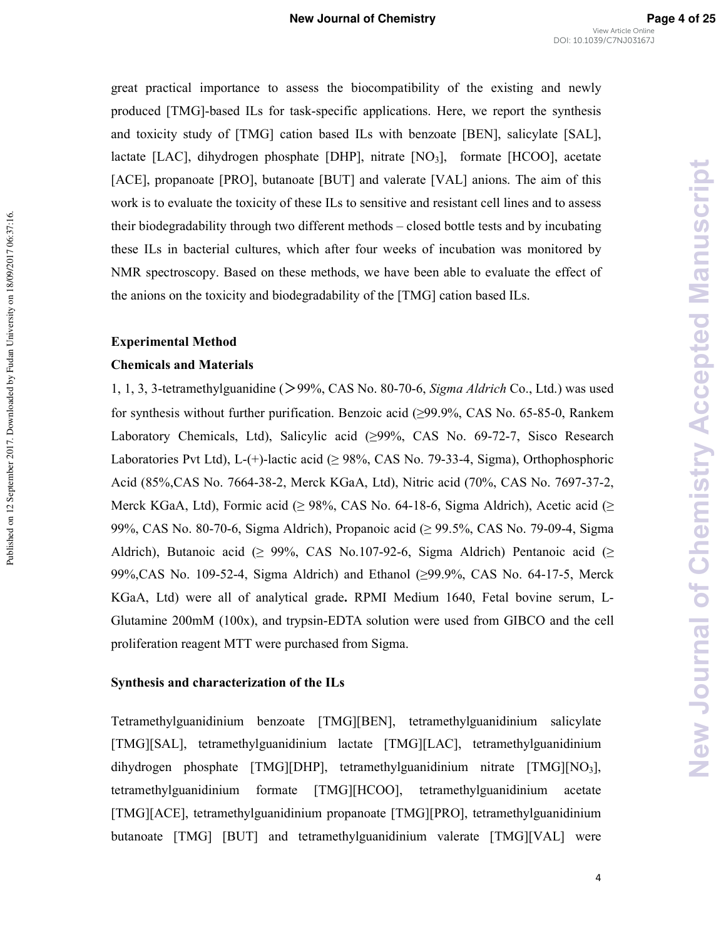great practical importance to assess the biocompatibility of the existing and newly produced [TMG]-based ILs for task-specific applications. Here, we report the synthesis and toxicity study of [TMG] cation based ILs with benzoate [BEN], salicylate [SAL], lactate [LAC], dihydrogen phosphate [DHP], nitrate  $[NO<sub>3</sub>]$ , formate [HCOO], acetate [ACE], propanoate [PRO], butanoate [BUT] and valerate [VAL] anions. The aim of this work is to evaluate the toxicity of these ILs to sensitive and resistant cell lines and to assess their biodegradability through two different methods – closed bottle tests and by incubating these ILs in bacterial cultures, which after four weeks of incubation was monitored by NMR spectroscopy. Based on these methods, we have been able to evaluate the effect of the anions on the toxicity and biodegradability of the [TMG] cation based ILs.

#### **Experimental Method**

Published on 12 September 2017. Downloaded by Fudan University on 18/09/2017 06:37:16.

Published on 12 September 2017. Downloaded by Fudan University on 18/09/2017 06:37:16.

#### **Chemicals and Materials**

1, 1, 3, 3-tetramethylguanidine (>99%, CAS No. 80-70-6, *Sigma Aldrich* Co., Ltd.) was used for synthesis without further purification. Benzoic acid  $(>99.9\%$ , CAS No. 65-85-0, Rankem Laboratory Chemicals, Ltd), Salicylic acid  $(≥99\%, CAS$  No. 69-72-7, Sisco Research Laboratories Pvt Ltd), L-(+)-lactic acid ( $\geq$  98%, CAS No. 79-33-4, Sigma), Orthophosphoric Acid (85%, CAS No. 7664-38-2, Merck KGaA, Ltd), Nitric acid (70%, CAS No. 7697-37-2, Merck KGaA, Ltd), Formic acid ( $\geq$  98%, CAS No. 64-18-6, Sigma Aldrich), Acetic acid ( $\geq$ 99%, CAS No. 80-70-6, Sigma Aldrich), Propanoic acid ( $\geq$  99.5%, CAS No. 79-09-4, Sigma Aldrich), Butanoic acid ( $\geq$  99%, CAS No.107-92-6, Sigma Aldrich) Pentanoic acid ( $\geq$ 99%, CAS No. 109-52-4, Sigma Aldrich) and Ethanol ( $\geq$ 99.9%, CAS No. 64-17-5, Merck KGaA, Ltd) were all of analytical grade. RPMI Medium 1640, Fetal bovine serum, L-Glutamine 200mM (100x), and trypsin-EDTA solution were used from GIBCO and the cell proliferation reagent MTT were purchased from Sigma.

#### **Synthesis and characterization of the ILs**

Tetramethylguanidinium benzoate [TMG][BEN], tetramethylguanidinium salicylate [TMG][SAL], tetramethylguanidinium lactate [TMG][LAC], tetramethylguanidinium dihydrogen phosphate [TMG][DHP], tetramethylguanidinium nitrate [TMG][NO3], tetramethylguanidinium formate [TMG][HCOO], tetramethylguanidinium acetate [TMG][ACE], tetramethylguanidinium propanoate [TMG][PRO], tetramethylguanidinium butanoate [TMG] [BUT] and tetramethylguanidinium valerate [TMG][VAL] were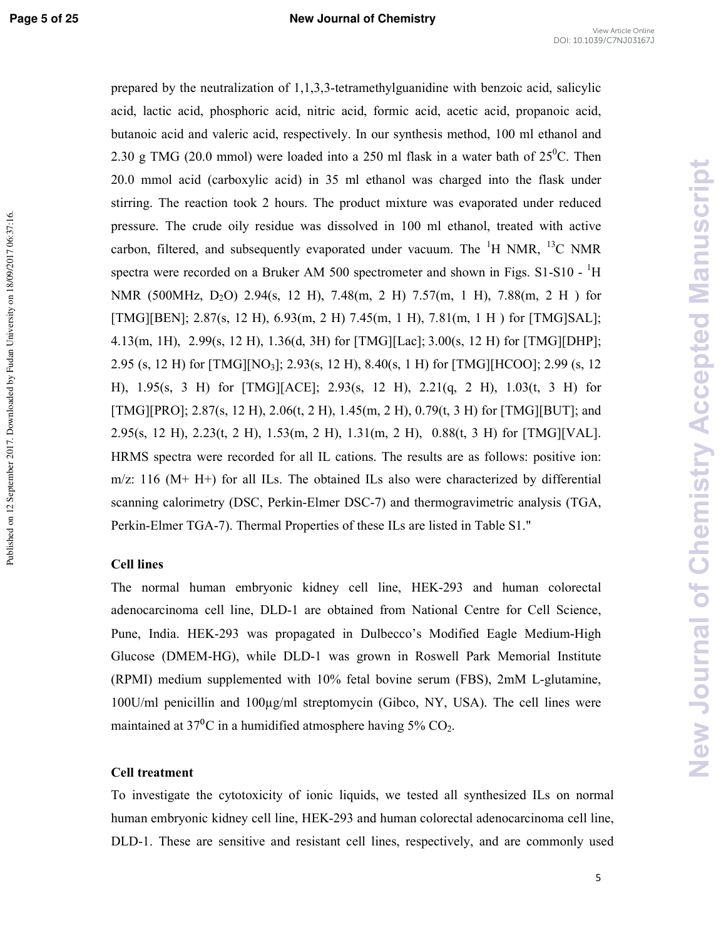Published on 12 September 2017. Downloaded by Fudan University on 18/09/2017 06:37:16.

prepared by the neutralization of  $1,1,3,3$ -tetramethylguanidine with benzoic acid, salicylic acid, lactic acid, phosphoric acid, nitric acid, formic acid, acetic acid, propanoic acid, butanoic acid and valeric acid, respectively. In our synthesis method, 100 ml ethanol and 2.30 g TMG (20.0 mmol) were loaded into a 250 ml flask in a water bath of  $25^{\circ}$ C. Then 20.0 mmol acid (carboxylic acid) in 35 ml ethanol was charged into the flask under stirring. The reaction took 2 hours. The product mixture was evaporated under reduced pressure. The crude oily residue was dissolved in 100 ml ethanol, treated with active carbon, filtered, and subsequently evaporated under vacuum. The  ${}^{1}$ H NMR,  ${}^{13}$ C NMR spectra were recorded on a Bruker AM 500 spectrometer and shown in Figs. S1-S10 -  ${}^{1}H$ NMR (500MHz, D<sub>2</sub>O) 2.94(s, 12 H), 7.48(m, 2 H) 7.57(m, 1 H), 7.88(m, 2 H) for [TMG][BEN]; 2.87(s, 12 H), 6.93(m, 2 H) 7.45(m, 1 H), 7.81(m, 1 H ) for [TMG]SAL]; 4.13(m, 1H), 2.99(s, 12 H), 1.36(d, 3H) for [TMG][Lac]; 3.00(s, 12 H) for [TMG][DHP]; 2.95 (s, 12 H) for [TMG][NO3]; 2.93(s, 12 H), 8.40(s, 1 H) for [TMG][HCOO]; 2.99 (s, 12 H), 1.95(s, 3 H) for [TMG][ACE]; 2.93(s, 12 H), 2.21(q, 2 H), 1.03(t, 3 H) for [TMG][PRO]; 2.87(s, 12 H), 2.06(t, 2 H), 1.45(m, 2 H), 0.79(t, 3 H) for [TMG][BUT]; and 2.95(s, 12 H), 2.23(t, 2 H), 1.53(m, 2 H), 1.31(m, 2 H), 0.88(t, 3 H) for [TMG][VAL]. HRMS spectra were recorded for all IL cations. The results are as follows: positive ion:  $m/z$ : 116 (M+ H+) for all ILs. The obtained ILs also were characterized by differential scanning calorimetry (DSC, Perkin-Elmer DSC-7) and thermogravimetric analysis (TGA, Perkin-Elmer TGA-7). Thermal Properties of these ILs are listed in Table S1."

#### **Cell lines**

The normal human embryonic kidney cell line, HEK2293 and human colorectal adenocarcinoma cell line, DLD-1 are obtained from National Centre for Cell Science, Pune, India. HEK-293 was propagated in Dulbecco's Modified Eagle Medium-High Glucose (DMEM-HG), while DLD-1 was grown in Roswell Park Memorial Institute  $(RPMI)$  medium supplemented with  $10\%$  fetal bovine serum  $(FBS)$ ,  $2mM$  L-glutamine, 100U/ml penicillin and 100µg/ml streptomycin (Gibco, NY, USA). The cell lines were maintained at  $37^{\circ}$ C in a humidified atmosphere having  $5\%$  CO<sub>2</sub>.

#### Cell treatment

To investigate the cytotoxicity of ionic liquids, we tested all synthesized ILs on normal human embryonic kidney cell line, HEK-293 and human colorectal adenocarcinoma cell line, DLD-1. These are sensitive and resistant cell lines, respectively, and are commonly used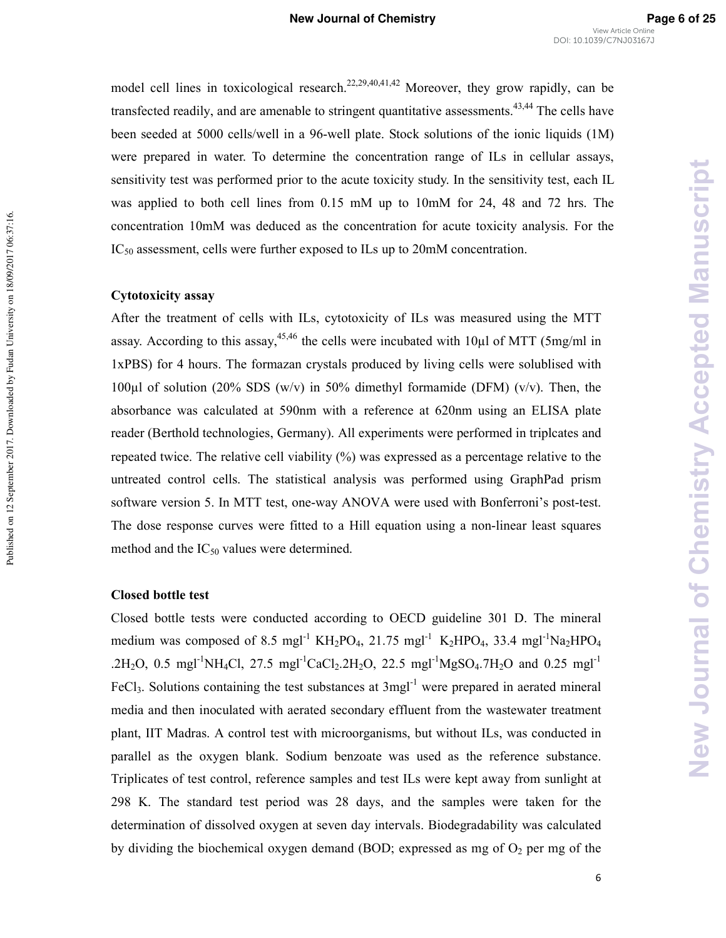model cell lines in toxicological research.<sup>22,29,40,41,42</sup> Moreover, they grow rapidly, can be transfected readily, and are amenable to stringent quantitative assessments.<sup>43,44</sup> The cells have been seeded at 5000 cells/well in a 96-well plate. Stock solutions of the ionic liquids (1M) were prepared in water. To determine the concentration range of ILs in cellular assays, sensitivity test was performed prior to the acute toxicity study. In the sensitivity test, each IL was applied to both cell lines from 0.15 mM up to 10mM for 24, 48 and 72 hrs. The concentration 10mM was deduced as the concentration for acute toxicity analysis. For the IC<sub>50</sub> assessment, cells were further exposed to ILs up to 20mM concentration.

#### Cytotoxicity assay

Published on 12 September 2017. Downloaded by Fudan University on 18/09/2017 06:37:16.

Published on 12 September 2017. Downloaded by Fudan University on 18/09/2017 06:37:16.

After the treatment of cells with ILs, cytotoxicity of ILs was measured using the MTT assay. According to this assay,<sup>45,46</sup> the cells were incubated with 10 $\mu$ l of MTT (5mg/ml in 1xPBS) for 4 hours. The formazan crystals produced by living cells were solublised with 100 $\mu$ l of solution (20% SDS (w/v) in 50% dimethyl formamide (DFM) (v/v). Then, the absorbance was calculated at 590nm with a reference at 620nm using an ELISA plate reader (Berthold technologies, Germany). All experiments were performed in triplcates and repeated twice. The relative cell viability  $(%)$  was expressed as a percentage relative to the untreated control cells. The statistical analysis was performed using GraphPad prism software version 5. In MTT test, one-way ANOVA were used with Bonferroni's post-test. The dose response curves were fitted to a Hill equation using a non-linear least squares method and the  $IC_{50}$  values were determined.

#### Closed bottle test

Closed bottle tests were conducted according to OECD guideline 301 D. The mineral medium was composed of 8.5 mgl<sup>-1</sup> KH<sub>2</sub>PO<sub>4</sub>, 21.75 mgl<sup>-1</sup> K<sub>2</sub>HPO<sub>4</sub>, 33.4 mgl<sup>-1</sup>Na<sub>2</sub>HPO<sub>4</sub> .2H<sub>2</sub>O, 0.5 mgl<sup>-1</sup>NH<sub>4</sub>Cl, 27.5 mgl<sup>-1</sup>CaCl<sub>2</sub>.2H<sub>2</sub>O, 22.5 mgl<sup>-1</sup>MgSO<sub>4</sub>.7H<sub>2</sub>O and 0.25 mgl<sup>-1</sup> FeCl<sub>3</sub>. Solutions containing the test substances at 3mgl<sup>-1</sup> were prepared in aerated mineral media and then inoculated with aerated secondary effluent from the wastewater treatment plant, IIT Madras. A control test with microorganisms, but without ILs, was conducted in parallel as the oxygen blank. Sodium benzoate was used as the reference substance. Triplicates of test control, reference samples and test ILs were kept away from sunlight at 298 K. The standard test period was 28 days, and the samples were taken for the determination of dissolved oxygen at seven day intervals. Biodegradability was calculated by dividing the biochemical oxygen demand (BOD; expressed as mg of  $O<sub>2</sub>$  per mg of the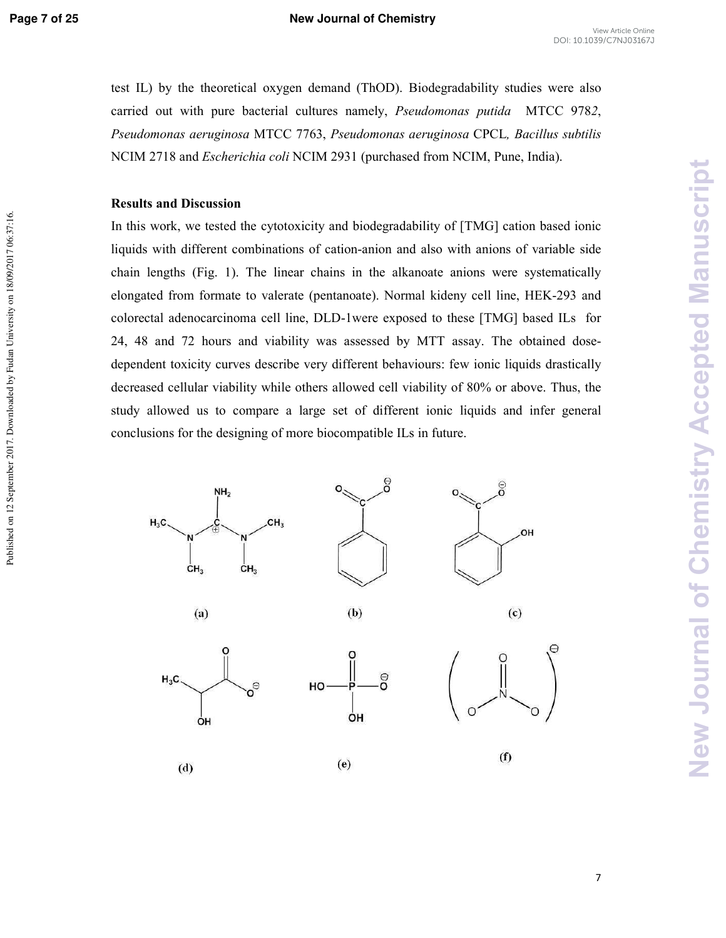Published on 12 September 2017. Downloaded by Fudan University on 18/09/2017 06:37:16.

test IL) by the theoretical oxygen demand (ThOD). Biodegradability studies were also carried out with pure bacterial cultures namely, *Pseudomonas putida* MTCC 9782, Pseudomonas aeruginosa MTCC 7763, Pseudomonas aeruginosa CPCL, Bacillus subtilis NCIM 2718 and *Escherichia coli* NCIM 2931 (purchased from NCIM, Pune, India).

#### **Results and Discussion**

In this work, we tested the cytotoxicity and biodegradability of [TMG] cation based ionic liquids with different combinations of cation-anion and also with anions of variable side chain lengths (Fig. 1). The linear chains in the alkanoate anions were systematically elongated from formate to valerate (pentanoate). Normal kideny cell line, HEK-293 and colorectal adenocarcinoma cell line, DLD-1were exposed to these [TMG] based ILs for 24, 48 and 72 hours and viability was assessed by MTT assay. The obtained dose2 dependent toxicity curves describe very different behaviours: few ionic liquids drastically decreased cellular viability while others allowed cell viability of 80% or above. Thus, the study allowed us to compare a large set of different ionic liquids and infer general conclusions for the designing of more biocompatible ILs in future.

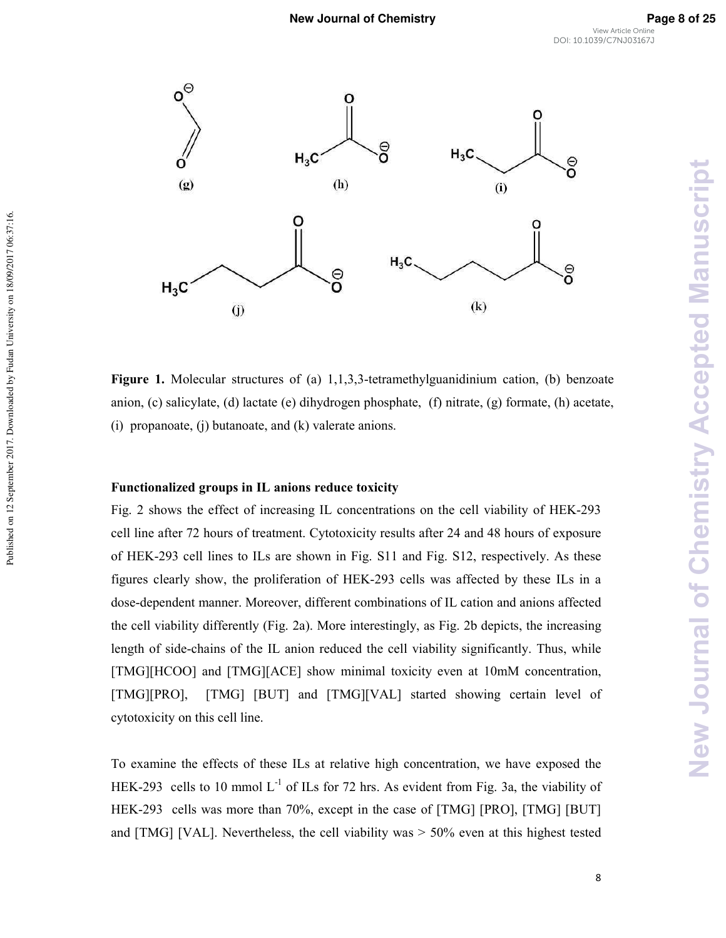

**Figure 1.** Molecular structures of (a)  $1,1,3,3$ -tetramethylguanidinium cation, (b) benzoate anion, (c) salicylate, (d) lactate (e) dihydrogen phosphate, (f) nitrate, (g) formate, (h) acetate, (i) propanoate, (j) butanoate, and (k) valerate anions.

#### Functionalized groups in IL anions reduce toxicity

Published on 12 September 2017. Downloaded by Fudan University on 18/09/2017 06:37:16.

Published on 12 September 2017. Downloaded by Fudan University on 18/09/2017 06:37:16.

Fig. 2 shows the effect of increasing IL concentrations on the cell viability of HEK-293 cell line after 72 hours of treatment. Cytotoxicity results after 24 and 48 hours of exposure of HEK-293 cell lines to ILs are shown in Fig. S11 and Fig. S12, respectively. As these figures clearly show, the proliferation of HEK-293 cells was affected by these ILs in a dose-dependent manner. Moreover, different combinations of IL cation and anions affected the cell viability differently (Fig. 2a). More interestingly, as Fig. 2b depicts, the increasing length of side-chains of the IL anion reduced the cell viability significantly. Thus, while [TMG][HCOO] and [TMG][ACE] show minimal toxicity even at 10mM concentration, [TMG][PRO], [TMG] [BUT] and [TMG][VAL] started showing certain level of cytotoxicity on this cell line.

To examine the effects of these ILs at relative high concentration, we have exposed the HEK-293 cells to 10 mmol  $L^{-1}$  of ILs for 72 hrs. As evident from Fig. 3a, the viability of HEK-293 cells was more than 70%, except in the case of [TMG] [PRO], [TMG] [BUT] and [TMG] [VAL]. Nevertheless, the cell viability was  $> 50\%$  even at this highest tested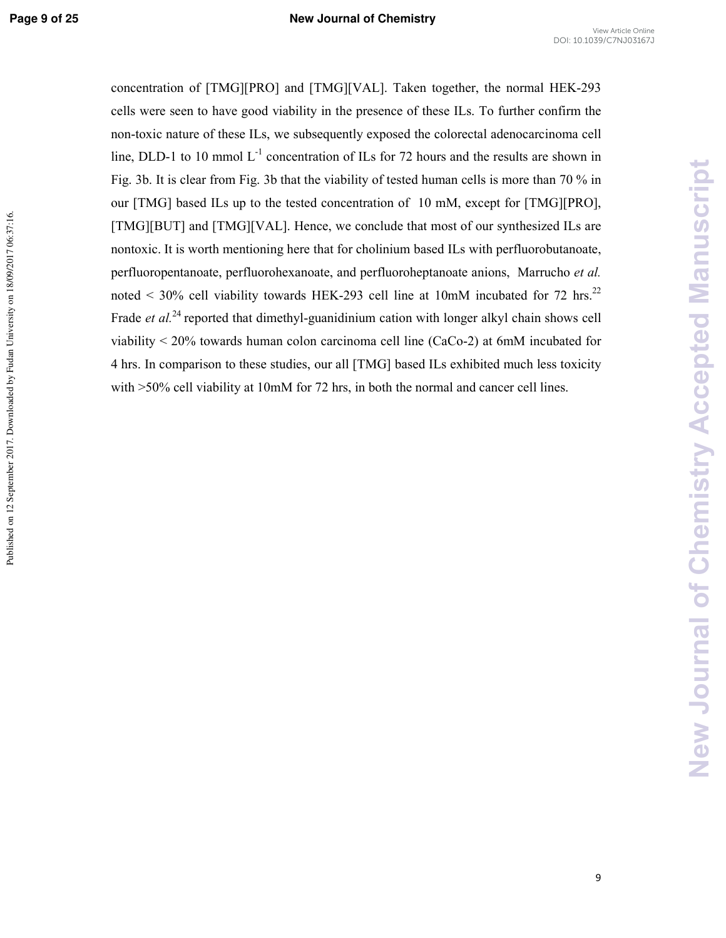concentration of  $[TMG][PRO]$  and  $[TMG][VAL]$ . Taken together, the normal HEK-293 cells were seen to have good viability in the presence of these ILs. To further confirm the non-toxic nature of these ILs, we subsequently exposed the colorectal adenocarcinoma cell line, DLD-1 to 10 mmol  $L^{-1}$  concentration of ILs for 72 hours and the results are shown in Fig. 3b. It is clear from Fig. 3b that the viability of tested human cells is more than 70 % in our [TMG] based ILs up to the tested concentration of 10 mM, except for [TMG][PRO], [TMG][BUT] and [TMG][VAL]. Hence, we conclude that most of our synthesized ILs are nontoxic. It is worth mentioning here that for cholinium based ILs with perfluorobutanoate, perfluoropentanoate, perfluorohexanoate, and perfluoroheptanoate anions, Marrucho et al. noted  $\leq$  30% cell viability towards HEK-293 cell line at 10mM incubated for 72 hrs.<sup>22</sup> Frade et al.<sup>24</sup> reported that dimethyl-guanidinium cation with longer alkyl chain shows cell viability  $\leq$  20% towards human colon carcinoma cell line (CaCo-2) at 6mM incubated for 4 hrs. In comparison to these studies, our all [TMG] based ILs exhibited much less toxicity with  $>50\%$  cell viability at 10mM for 72 hrs, in both the normal and cancer cell lines.

**New Journal of Chemistry Accepted Manuscript**

**New Journal of Chemistry Accepted Manuscript**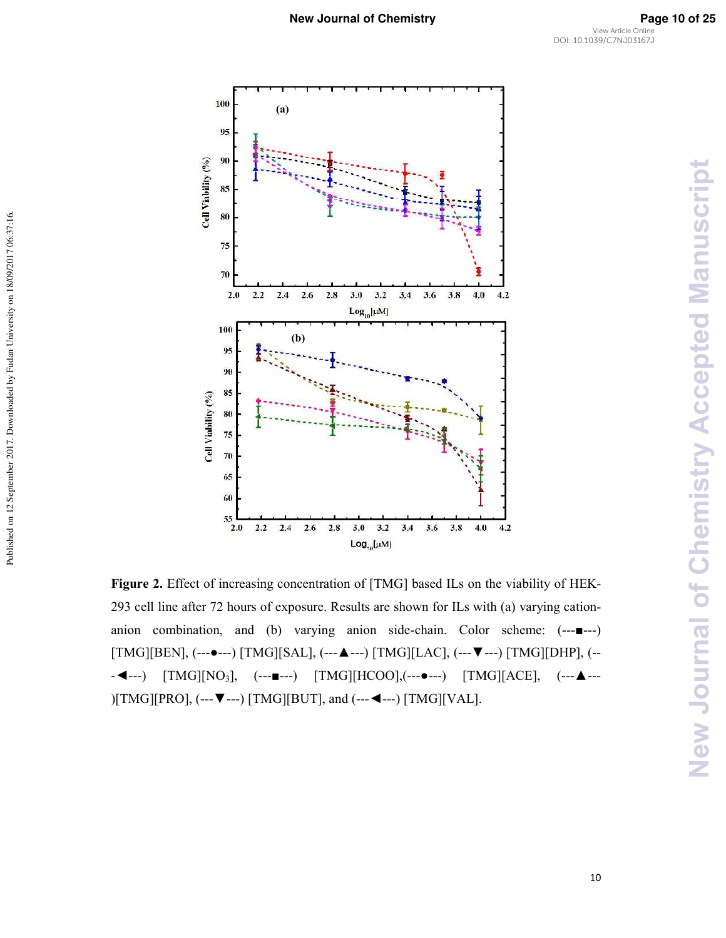

Published on 12 September 2017. Downloaded by Fudan University on 18/09/2017 06:37:16.

Figure 2. Effect of increasing concentration of [TMG] based ILs on the viability of HEK-293 cell line after 72 hours of exposure. Results are shown for ILs with (a) varying cation2 anion combination, and (b) varying anion side-chain. Color scheme:  $(-,-\blacksquare -2)$  $[TMG][BEN],$  (--- $\bullet$ ---)  $[TMG][SAL],$  (--- $\blacktriangle$ ---)  $[TMG][LAC],$  (--- $\blacktriangledown$ ---)  $[TMG][DHP],$  (-- $-$  →  $-$  [TMG][NO<sub>3</sub>], (---■---) [TMG][HCOO],(---●---) [TMG][ACE], (---▲--- $[THG][PRO]$ , (--- $\nabla$ ---) [TMG][BUT], and (--- $\blacktriangleleft$ ---) [TMG][VAL].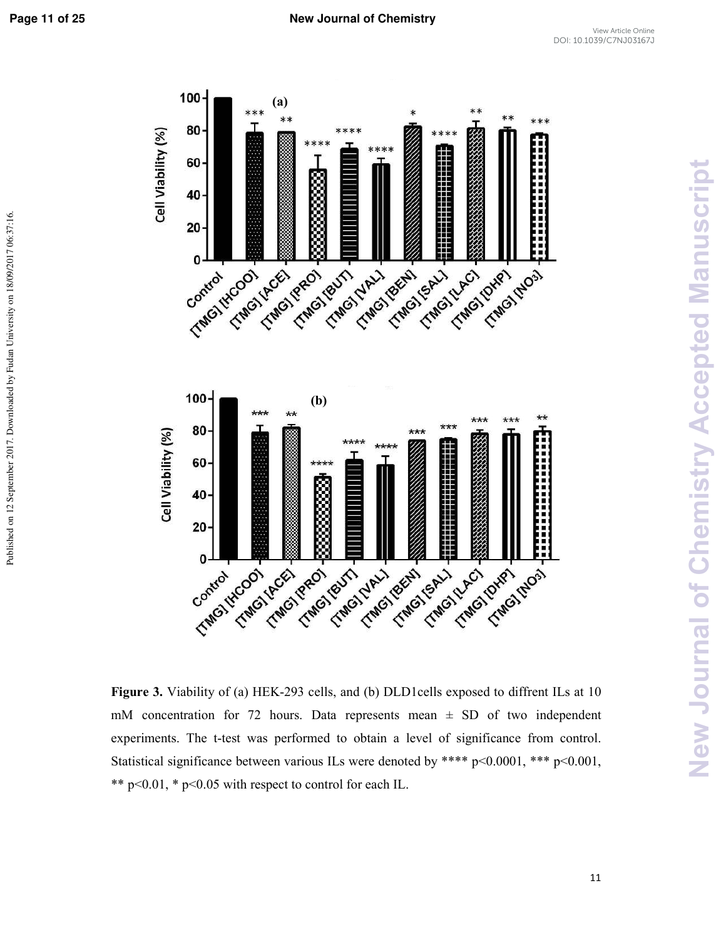Published on 12 September 2017. Downloaded by Fudan University on 18/09/2017 06:37:16.



**Figure 3.** Viability of (a) HEK-293 cells, and (b) DLD1cells exposed to diffrent ILs at 10 mM concentration for 72 hours. Data represents mean  $\pm$  SD of two independent experiments. The t-test was performed to obtain a level of significance from control. Statistical significance between various ILs were denoted by \*\*\*\* p<0.0001, \*\*\* p<0.001, \*\*  $p<0.01$ , \*  $p<0.05$  with respect to control for each IL.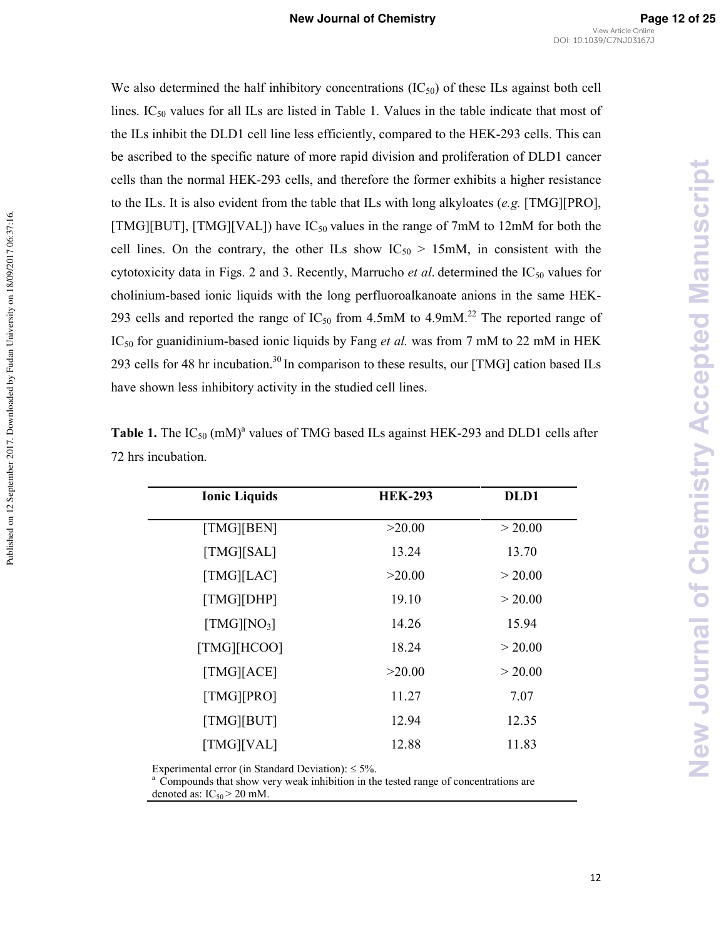We also determined the half inhibitory concentrations  $(IC_{50})$  of these ILs against both cell lines.  $IC_{50}$  values for all ILs are listed in Table 1. Values in the table indicate that most of the ILs inhibit the DLD1 cell line less efficiently, compared to the HEK-293 cells. This can be ascribed to the specific nature of more rapid division and proliferation of DLD1 cancer cells than the normal HEK-293 cells, and therefore the former exhibits a higher resistance to the ILs. It is also evident from the table that ILs with long alkyloates (e.g. [TMG][PRO], [TMG][BUT], [TMG][VAL]) have  $IC_{50}$  values in the range of 7mM to 12mM for both the cell lines. On the contrary, the other ILs show  $IC_{50} > 15 \text{mM}$ , in consistent with the cytotoxicity data in Figs. 2 and 3. Recently, Marrucho *et al*. determined the IC<sub>50</sub> values for cholinium-based ionic liquids with the long perfluoroalkanoate anions in the same HEK-293 cells and reported the range of  $IC_{50}$  from 4.5mM to 4.9mM.<sup>22</sup> The reported range of IC<sub>50</sub> for guanidinium-based ionic liquids by Fang *et al.* was from 7 mM to 22 mM in HEK 293 cells for 48 hr incubation.<sup>30</sup> In comparison to these results, our [TMG] cation based ILs have shown less inhibitory activity in the studied cell lines.

| <b>Ionic Liquids</b>                              | <b>HEK-293</b> | DLD1    |
|---------------------------------------------------|----------------|---------|
| [TMG][BEN]                                        | >20.00         | > 20.00 |
| [TMG][SAL]                                        | 13.24          | 13.70   |
| [TMG][LAC]                                        | >20.00         | > 20.00 |
| [TMG][DHP]                                        | 19.10          | > 20.00 |
| $\left[\text{TMG}\right]\left[\text{NO}_3\right]$ | 14.26          | 15.94   |
| [TMG][HCOO]                                       | 18.24          | > 20.00 |
| [TMG][ACE]                                        | >20.00         | > 20.00 |
| [TMG][PRO]                                        | 11.27          | 7.07    |
| [TMG][BUT]                                        | 12.94          | 12.35   |
| [TMG][VAL]                                        | 12.88          | 11.83   |

**Table 1.** The  $IC_{50}$  (mM)<sup>a</sup> values of TMG based ILs against HEK-293 and DLD1 cells after 72 hrs incubation.

Experimental error (in Standard Deviation):  $\leq 5\%$ .

Published on 12 September 2017. Downloaded by Fudan University on 18/09/2017 06:37:16.

Published on 12 September 2017. Downloaded by Fudan University on 18/09/2017 06:37:16.

<sup>a</sup> Compounds that show very weak inhibition in the tested range of concentrations are denoted as:  $IC_{50}$  > 20 mM.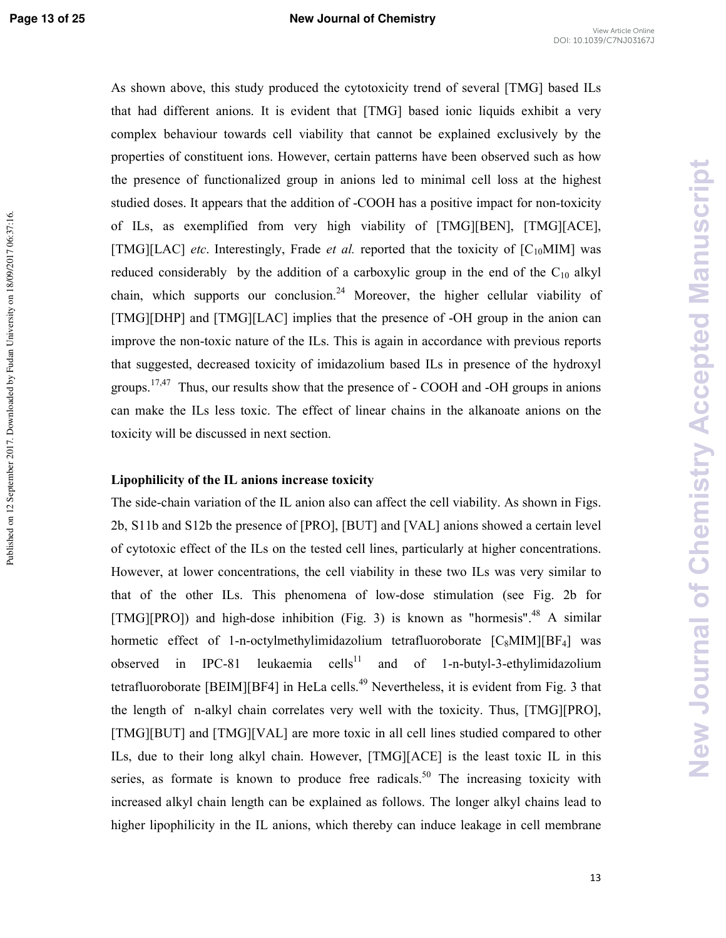Published on 12 September 2017. Downloaded by Fudan University on 18/09/2017 06:37:16.

As shown above, this study produced the cytotoxicity trend of several [TMG] based ILs that had different anions. It is evident that [TMG] based ionic liquids exhibit a very complex behaviour towards cell viability that cannot be explained exclusively by the properties of constituent ions. However, certain patterns have been observed such as how the presence of functionalized group in anions led to minimal cell loss at the highest studied doses. It appears that the addition of -COOH has a positive impact for non-toxicity of ILs, as exemplified from very high viability of [TMG][BEN], [TMG][ACE], [TMG][LAC] *etc*. Interestingly, Frade *et al.* reported that the toxicity of [C<sub>10</sub>MIM] was reduced considerably by the addition of a carboxylic group in the end of the  $C_{10}$  alkyl chain, which supports our conclusion.<sup>24</sup> Moreover, the higher cellular viability of [TMG][DHP] and [TMG][LAC] implies that the presence of -OH group in the anion can improve the non-toxic nature of the ILs. This is again in accordance with previous reports that suggested, decreased toxicity of imidazolium based ILs in presence of the hydroxyl groups.<sup>17,47</sup> Thus, our results show that the presence of  $-$  COOH and  $-$ OH groups in anions can make the ILs less toxic. The effect of linear chains in the alkanoate anions on the toxicity will be discussed in next section.

### Lipophilicity of the IL anions increase toxicity

The side-chain variation of the IL anion also can affect the cell viability. As shown in Figs. 2b, S11b and S12b the presence of [PRO], [BUT] and [VAL] anions showed a certain level of cytotoxic effect of the ILs on the tested cell lines, particularly at higher concentrations. However, at lower concentrations, the cell viability in these two ILs was very similar to that of the other ILs. This phenomena of low-dose stimulation (see Fig. 2b for [TMG][PRO]) and high-dose inhibition (Fig. 3) is known as "hormesis".<sup>48</sup> A similar hormetic effect of 1-n-octylmethylimidazolium tetrafluoroborate  $[C_8MIM][BF_4]$  was observed in IPC-81 leukaemia cells<sup>11</sup> and of 1-n-butyl-3-ethylimidazolium tetrafluoroborate [BEIM][BF4] in HeLa cells.<sup>49</sup> Nevertheless, it is evident from Fig. 3 that the length of n-alkyl chain correlates very well with the toxicity. Thus, [TMG][PRO], [TMG][BUT] and [TMG][VAL] are more toxic in all cell lines studied compared to other ILs, due to their long alkyl chain. However, [TMG][ACE] is the least toxic IL in this series, as formate is known to produce free radicals.<sup>50</sup> The increasing toxicity with increased alkyl chain length can be explained as follows. The longer alkyl chains lead to higher lipophilicity in the IL anions, which thereby can induce leakage in cell membrane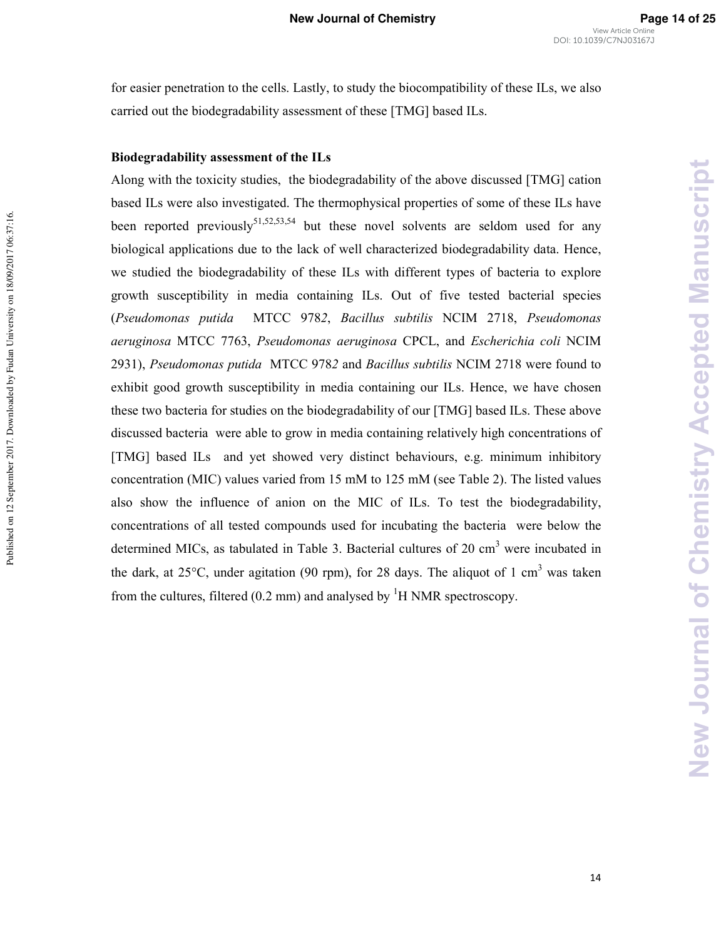for easier penetration to the cells. Lastly, to study the biocompatibility of these ILs, we also carried out the biodegradability assessment of these [TMG] based ILs.

#### Biodegradability assessment of the ILs

Published on 12 September 2017. Downloaded by Fudan University on 18/09/2017 06:37:16.

Published on 12 September 2017. Downloaded by Fudan University on 18/09/2017 06:37:16.

Along with the toxicity studies, the biodegradability of the above discussed [TMG] cation based ILs were also investigated. The thermophysical properties of some of these ILs have been reported previously<sup>51,52,53,54</sup> but these novel solvents are seldom used for any biological applications due to the lack of well characterized biodegradability data. Hence, we studied the biodegradability of these ILs with different types of bacteria to explore growth susceptibility in media containing ILs. Out of five tested bacterial species (Pseudomonas putida MTCC 9782, Bacillus subtilis NCIM 2718, Pseudomonas aeruginosa MTCC 7763, Pseudomonas aeruginosa CPCL, and *Escherichia coli* NCIM 2931), *Pseudomonas putida* MTCC 9782 and *Bacillus subtilis* NCIM 2718 were found to exhibit good growth susceptibility in media containing our ILs. Hence, we have chosen these two bacteria for studies on the biodegradability of our [TMG] based ILs. These above discussed bacteria were able to grow in media containing relatively high concentrations of [TMG] based ILs and yet showed very distinct behaviours, e.g. minimum inhibitory concentration (MIC) values varied from 15 mM to 125 mM (see Table 2). The listed values also show the influence of anion on the MIC of ILs. To test the biodegradability, concentrations of all tested compounds used for incubating the bacteria were below the determined MICs, as tabulated in Table 3. Bacterial cultures of 20  $\text{cm}^3$  were incubated in the dark, at  $25^{\circ}$ C, under agitation (90 rpm), for 28 days. The aliquot of 1 cm<sup>3</sup> was taken from the cultures, filtered (0.2 mm) and analysed by  ${}^{1}H$  NMR spectroscopy.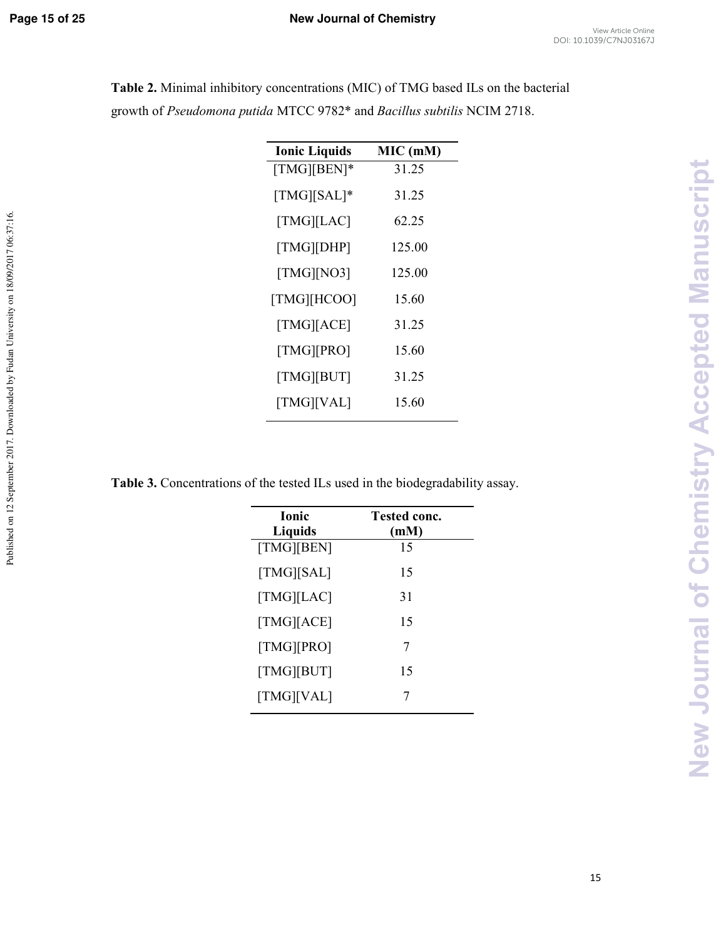Published on 12 September 2017. Downloaded by Fudan University on 18/09/2017 06:37:16.

| <b>Ionic Liquids</b> | MIC (mM) |
|----------------------|----------|
| $[TMG][BEN]*$        | 31.25    |
| [TMG][SAL]*          | 31.25    |
| [TMG][LAC]           | 62.25    |
| [TMG][DHP]           | 125.00   |
| [TMG][NO3]           | 125.00   |
| [TMG][HCOO]          | 15.60    |
| [TMG][ACE]           | 31.25    |
| [TMG][PRO]           | 15.60    |
| [TMG][BUT]           | 31.25    |
| [TMG][VAL]           | 15.60    |

**Table 2.** Minimal inhibitory concentrations (MIC) of TMG based ILs on the bacterial growth of *Pseudomona putida* MTCC 9782\* and *Bacillus subtilis* NCIM 2718.

**Table 3.** Concentrations of the tested ILs used in the biodegradability assay.

| <b>Ionic</b><br>Liquids | <b>Tested conc.</b><br>(mM) |
|-------------------------|-----------------------------|
| [TMG][BEN]              | 15                          |
| [TMG][SAL]              | 15                          |
| [TMG][LAC]              | 31                          |
| [TMG][ACE]              | 15                          |
| [TMG][PRO]              | 7                           |
| [TMG][BUT]              | 15                          |
| [TMG][VAL]              | 7                           |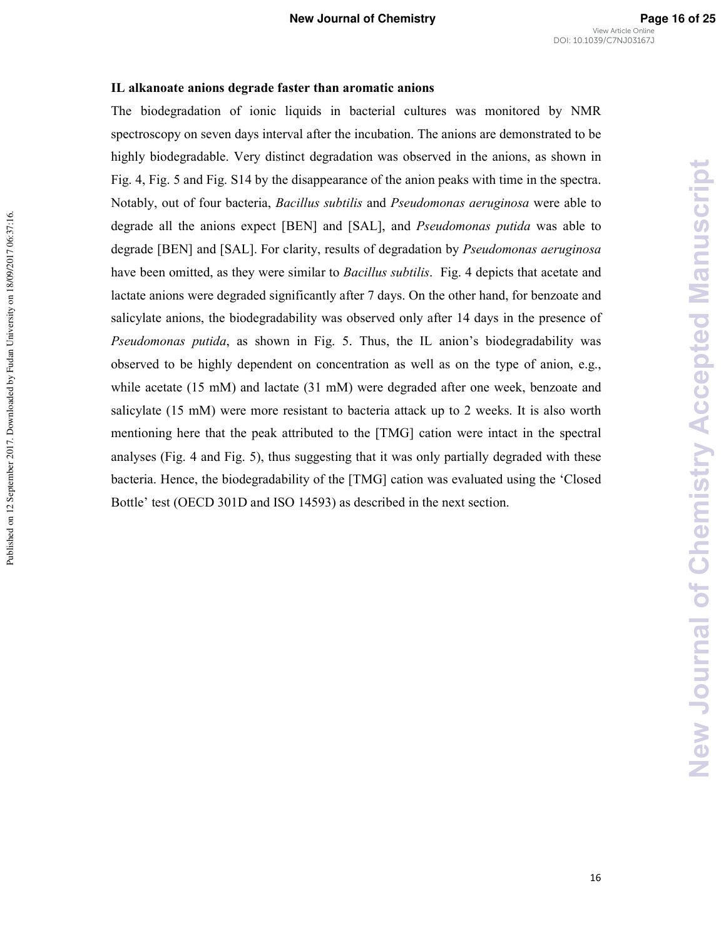#### IL alkanoate anions degrade faster than aromatic anions

The biodegradation of ionic liquids in bacterial cultures was monitored by NMR spectroscopy on seven days interval after the incubation. The anions are demonstrated to be highly biodegradable. Very distinct degradation was observed in the anions, as shown in Fig. 4, Fig. 5 and Fig. S14 by the disappearance of the anion peaks with time in the spectra. Notably, out of four bacteria, *Bacillus subtilis* and *Pseudomonas aeruginosa* were able to degrade all the anions expect [BEN] and [SAL], and *Pseudomonas putida* was able to degrade [BEN] and [SAL]. For clarity, results of degradation by *Pseudomonas aeruginosa* have been omitted, as they were similar to *Bacillus subtilis*. Fig. 4 depicts that acetate and lactate anions were degraded significantly after 7 days. On the other hand, for benzoate and salicylate anions, the biodegradability was observed only after 14 days in the presence of *Pseudomonas putida*, as shown in Fig. 5. Thus, the IL anion's biodegradability was observed to be highly dependent on concentration as well as on the type of anion, e.g., while acetate (15 mM) and lactate (31 mM) were degraded after one week, benzoate and salicylate (15 mM) were more resistant to bacteria attack up to 2 weeks. It is also worth mentioning here that the peak attributed to the [TMG] cation were intact in the spectral analyses (Fig. 4 and Fig. 5), thus suggesting that it was only partially degraded with these bacteria. Hence, the biodegradability of the [TMG] cation was evaluated using the 'Closed Bottle' test (OECD 301D and ISO 14593) as described in the next section.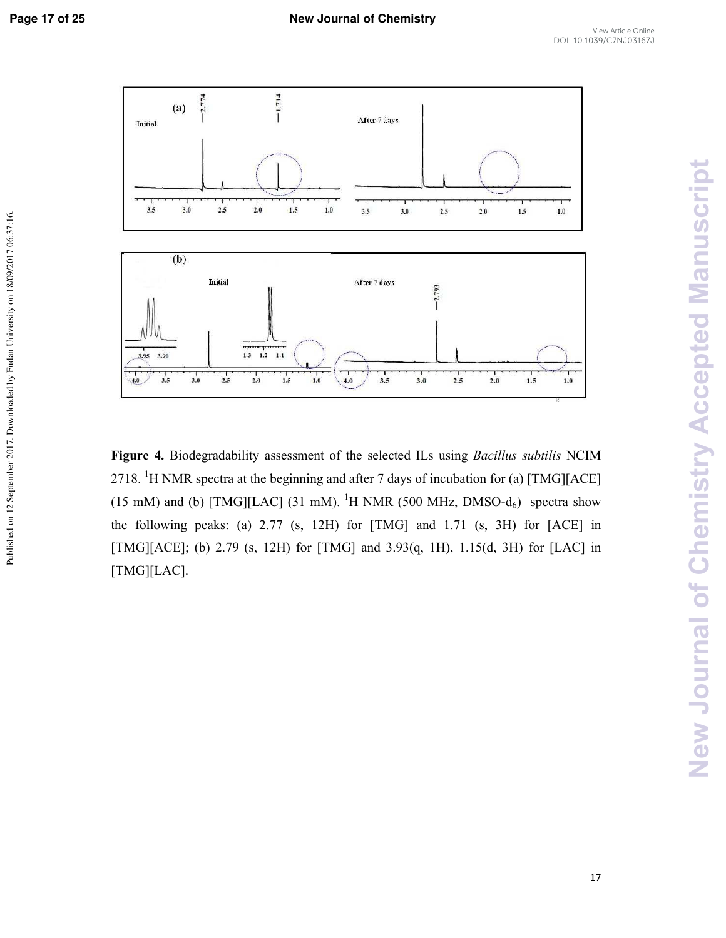Published on 12 September 2017. Downloaded by Fudan University on 18/09/2017 06:37:16.



Figure 4. Biodegradability assessment of the selected ILs using *Bacillus subtilis* NCIM 2718. <sup>1</sup>H NMR spectra at the beginning and after 7 days of incubation for (a) [TMG][ACE] (15 mM) and (b) [TMG][LAC] (31 mM). <sup>1</sup>H NMR (500 MHz, DMSO- $d_6$ ) spectra show the following peaks: (a) 2.77 (s, 12H) for [TMG] and 1.71 (s, 3H) for [ACE] in [TMG][ACE]; (b) 2.79 (s, 12H) for [TMG] and 3.93(q, 1H), 1.15(d, 3H) for [LAC] in [TMG][LAC].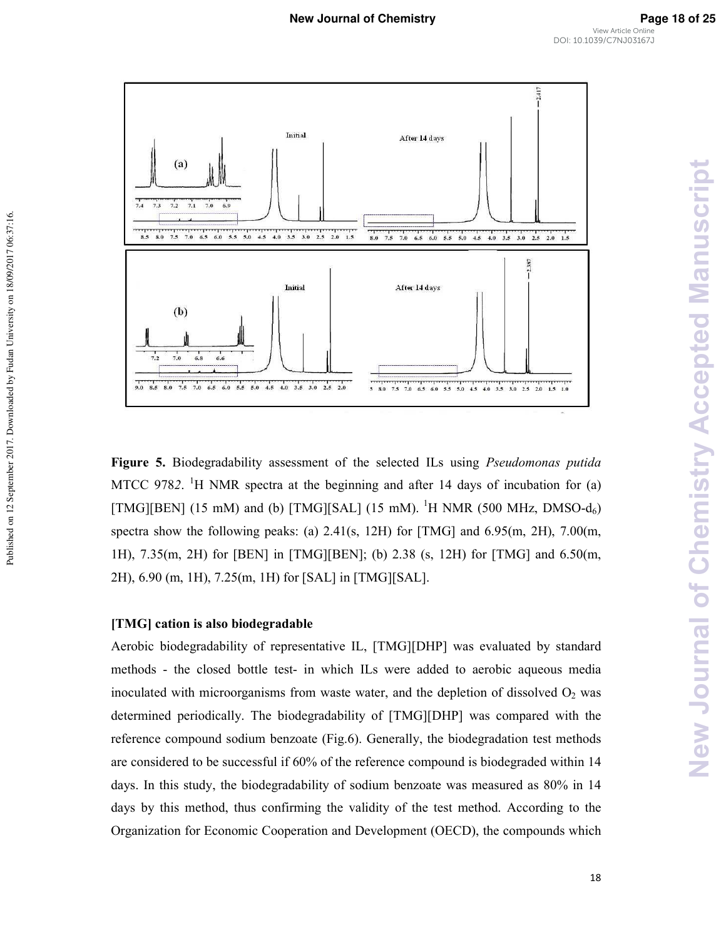

**Figure 5.** Biodegradability assessment of the selected ILs using *Pseudomonas putida* MTCC 9782. <sup>1</sup>H NMR spectra at the beginning and after 14 days of incubation for  $(a)$ [TMG][BEN] (15 mM) and (b) [TMG][SAL] (15 mM). <sup>1</sup>H NMR (500 MHz, DMSO-d<sub>6</sub>) spectra show the following peaks: (a) 2.41(s, 12H) for [TMG] and 6.95(m, 2H), 7.00(m, 1H), 7.35(m, 2H) for [BEN] in [TMG][BEN]; (b) 2.38 (s, 12H) for [TMG] and 6.50(m, 2H), 6.90 (m, 1H), 7.25(m, 1H) for [SAL] in [TMG][SAL].

# [TMG] cation is also biodegradable

Published on 12 September 2017. Downloaded by Fudan University on 18/09/2017 06:37:16.

Published on 12 September 2017. Downloaded by Fudan University on 18/09/2017 06:37:16.

Aerobic biodegradability of representative IL, [TMG][DHP] was evaluated by standard methods - the closed bottle test- in which ILs were added to aerobic aqueous media inoculated with microorganisms from waste water, and the depletion of dissolved  $O<sub>2</sub>$  was determined periodically. The biodegradability of [TMG][DHP] was compared with the reference compound sodium benzoate (Fig.6). Generally, the biodegradation test methods are considered to be successful if 60% of the reference compound is biodegraded within 14 days. In this study, the biodegradability of sodium benzoate was measured as 80% in 14 days by this method, thus confirming the validity of the test method. According to the Organization for Economic Cooperation and Development (OECD), the compounds which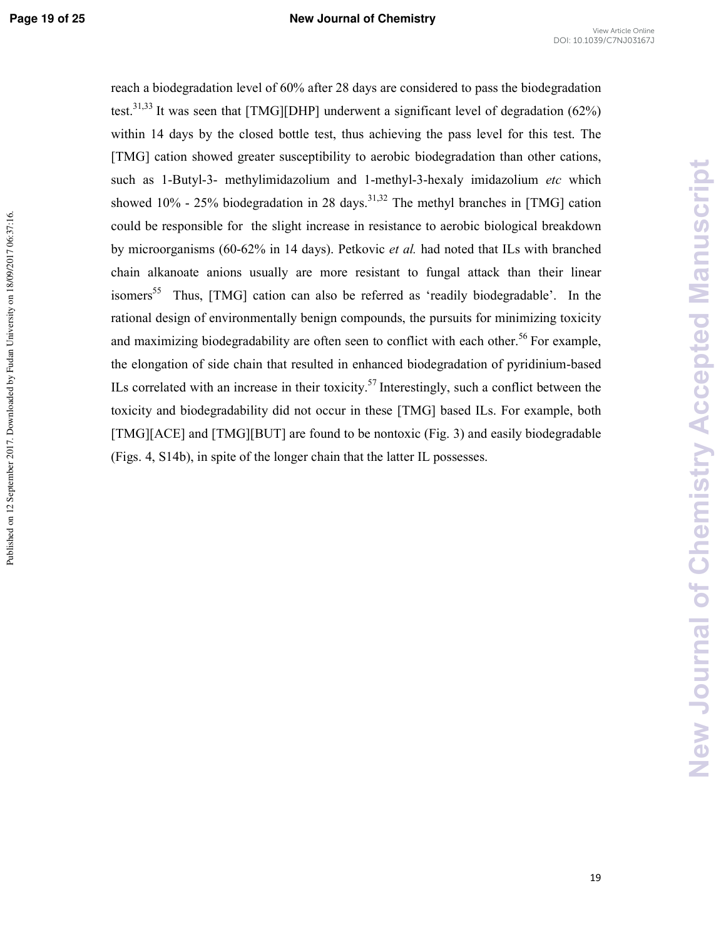**New Journal of Chemistry Accepted Manuscript**

**New Journal of Chemistry Accepted Manuscript** 

reach a biodegradation level of 60% after 28 days are considered to pass the biodegradation test.<sup>31,33</sup> It was seen that [TMG][DHP] underwent a significant level of degradation (62%) within 14 days by the closed bottle test, thus achieving the pass level for this test. The [TMG] cation showed greater susceptibility to aerobic biodegradation than other cations, such as 1-Butyl-3- methylimidazolium and 1-methyl-3-hexaly imidazolium *etc* which showed 10% - 25% biodegradation in 28 days.<sup>31,32</sup> The methyl branches in [TMG] cation could be responsible for the slight increase in resistance to aerobic biological breakdown by microorganisms (60-62% in 14 days). Petkovic et al. had noted that ILs with branched chain alkanoate anions usually are more resistant to fungal attack than their linear isomers<sup>55</sup> Thus, [TMG] cation can also be referred as 'readily biodegradable'. In the rational design of environmentally benign compounds, the pursuits for minimizing toxicity and maximizing biodegradability are often seen to conflict with each other.<sup>56</sup> For example, the elongation of side chain that resulted in enhanced biodegradation of pyridinium-based ILs correlated with an increase in their toxicity.<sup>57</sup> Interestingly, such a conflict between the toxicity and biodegradability did not occur in these [TMG] based ILs. For example, both [TMG][ACE] and [TMG][BUT] are found to be nontoxic (Fig. 3) and easily biodegradable (Figs. 4, S14b), in spite of the longer chain that the latter IL possesses.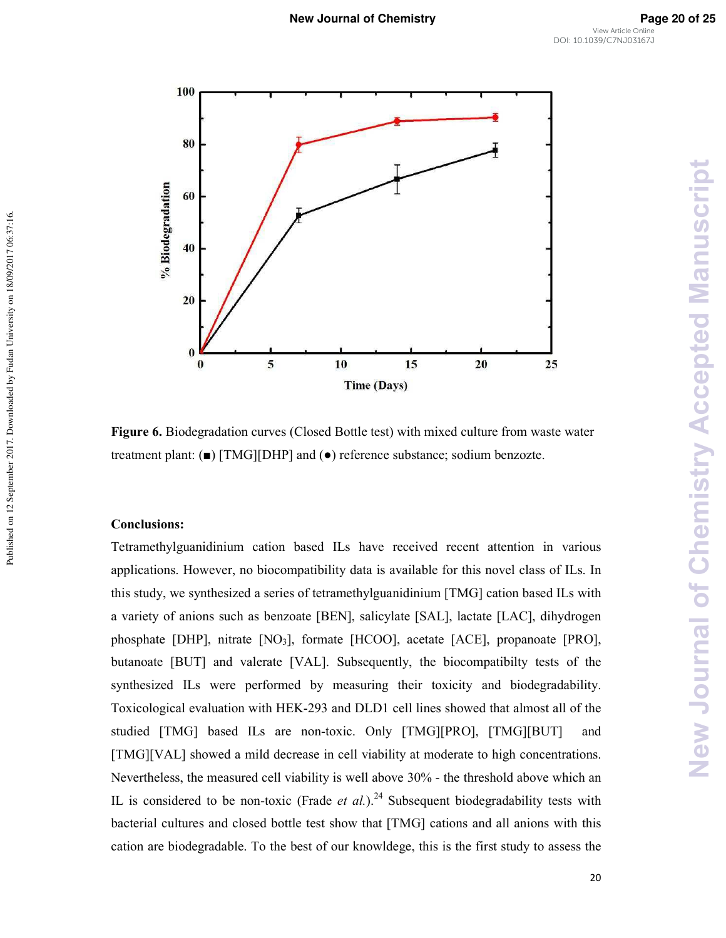

**Figure 6.** Biodegradation curves (Closed Bottle test) with mixed culture from waste water treatment plant: (■) [TMG][DHP] and (●) reference substance; sodium benzozte.

# **Conclusions:**

Published on 12 September 2017. Downloaded by Fudan University on 18/09/2017 06:37:16.

Published on 12 September 2017. Downloaded by Fudan University on 18/09/2017 06:37:16.

Tetramethylguanidinium cation based ILs have received recent attention in various applications. However, no biocompatibility data is available for this novel class of ILs. In this study, we synthesized a series of tetramethylguanidinium [TMG] cation based ILs with a variety of anions such as benzoate [BEN], salicylate [SAL], lactate [LAC], dihydrogen phosphate [DHP], nitrate [NO3], formate [HCOO], acetate [ACE], propanoate [PRO], butanoate [BUT] and valerate [VAL]. Subsequently, the biocompatibilty tests of the synthesized ILs were performed by measuring their toxicity and biodegradability. Toxicological evaluation with HEK2293 and DLD1 cell lines showed that almost all of the studied [TMG] based ILs are non-toxic. Only [TMG][PRO], [TMG][BUT] and [TMG][VAL] showed a mild decrease in cell viability at moderate to high concentrations. Nevertheless, the measured cell viability is well above 30% - the threshold above which an IL is considered to be non-toxic (Frade *et al.*).<sup>24</sup> Subsequent biodegradability tests with bacterial cultures and closed bottle test show that [TMG] cations and all anions with this cation are biodegradable. To the best of our knowldege, this is the first study to assess the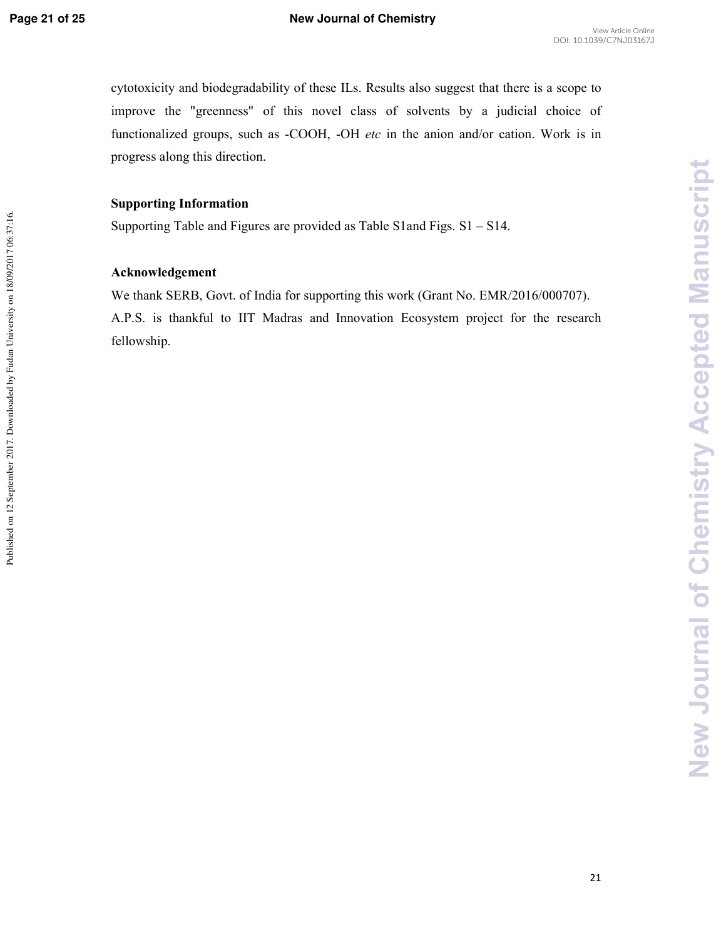Published on 12 September 2017. Downloaded by Fudan University on 18/09/2017 06:37:16.

cytotoxicity and biodegradability of these ILs. Results also suggest that there is a scope to improve the "greenness" of this novel class of solvents by a judicial choice of functionalized groups, such as -COOH, -OH *etc* in the anion and/or cation. Work is in progress along this direction.

# **Supporting Information**

Supporting Table and Figures are provided as Table S1and Figs. S1 – S14.

# Acknowledgement

We thank SERB, Govt. of India for supporting this work (Grant No. EMR/2016/000707). A.P.S. is thankful to IIT Madras and Innovation Ecosystem project for the research fellowship.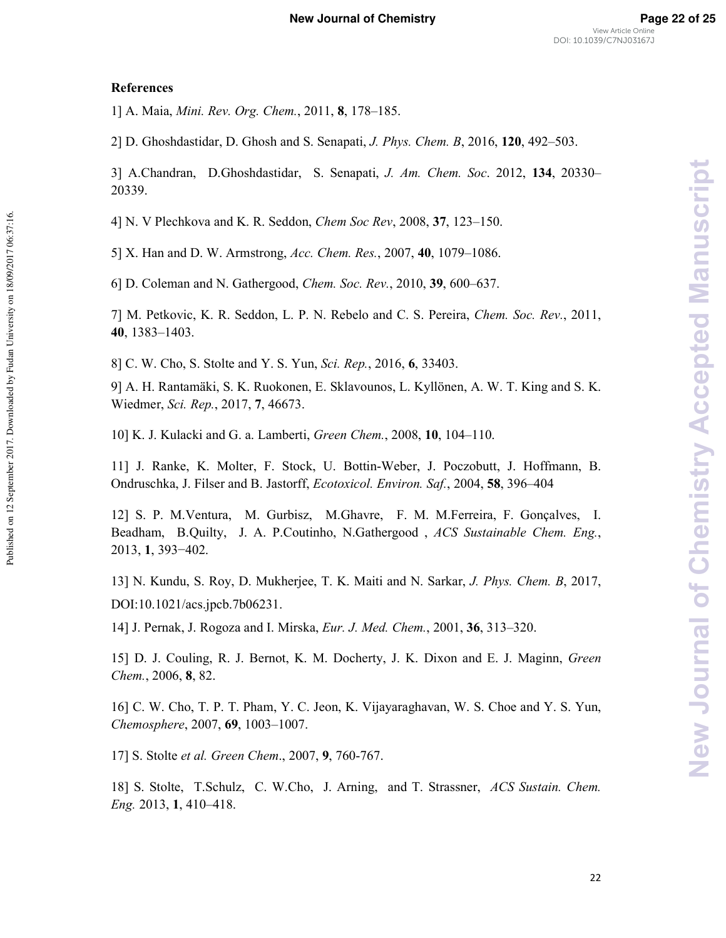Published on 12 September 2017. Downloaded by Fudan University on 18/09/2017 06:37:16

1] A. Maia, *Mini. Rev. Org. Chem.*, 2011, 8, 178-185.

2] D. Ghoshdastidar, D. Ghosh and S. Senapati, *J. Phys. Chem. B*, 2016, 120, 492–503.

3] A.Chandran, D.Ghoshdastidar, S. Senapati, *J. Am. Chem. Soc.* 2012, 134, 20330– 20339.

4] N. V Plechkova and K. R. Seddon, *Chem Soc Rev*, 2008, 37, 123–150.

5] X. Han and D. W. Armstrong, *Acc. Chem. Res.*, 2007, 40, 1079–1086.

6] D. Coleman and N. Gathergood, *Chem. Soc. Rev.*, 2010, 39, 600–637.

7] M. Petkovic, K. R. Seddon, L. P. N. Rebelo and C. S. Pereira, *Chem. Soc. Rev.*, 2011, **3<**, 1383–1403.

8] C. W. Cho, S. Stolte and Y. S. Yun, *Sci. Rep.*, 2016, 6, 33403.

9] A. H. Rantamäki, S. K. Ruokonen, E. Sklavounos, L. Kyllönen, A. W. T. King and S. K. Wiedmer,, 2017, **=**, 46673.

10] K. J. Kulacki and G. a. Lamberti, *Green Chem.*, 2008, 10, 104–110.

11] J. Ranke, K. Molter, F. Stock, U. Bottin2Weber, J. Poczobutt, J. Hoffmann, B. Ondruschka, J. Filser and B. Jastorff, *Ecotoxicol. Environ. Saf.*, 2004, 58, 396–404

12] S. P. M.Ventura, M. Gurbisz, M.Ghavre, F. M. M.Ferreira, F. Gonçalves, I. Beadham, B.Quilty, J. A. P.Coutinho, N.Gathergood, ACS Sustainable Chem. Eng., 2013, **(**, 393−402.

13] N. Kundu, S. Roy, D. Mukherjee, T. K. Maiti and N. Sarkar, *J. Phys. Chem. B*, 2017, DOI:10.1021/acs.jpcb.7b06231.

14] J. Pernak, J. Rogoza and I. Mirska, *Eur. J. Med. Chem.*, 2001, 36, 313–320.

15] D. J. Couling, R. J. Bernot, K. M. Docherty, J. K. Dixon and E. J. Maginn, *Green Chem.*, 2006, 8, 82.

16] C. W. Cho, T. P. T. Pham, Y. C. Jeon, K. Vijayaraghavan, W. S. Choe and Y. S. Yun, *!-*, 2007, **80**, 1003–1007.

17] S. Stolte et al. Green Chem., 2007, 9, 760-767.

18] S. Stolte, T.Schulz, C. W.Cho, J. Arning, and T. Strassner, ACS Sustain. Chem. 2013, **(**, 410–418.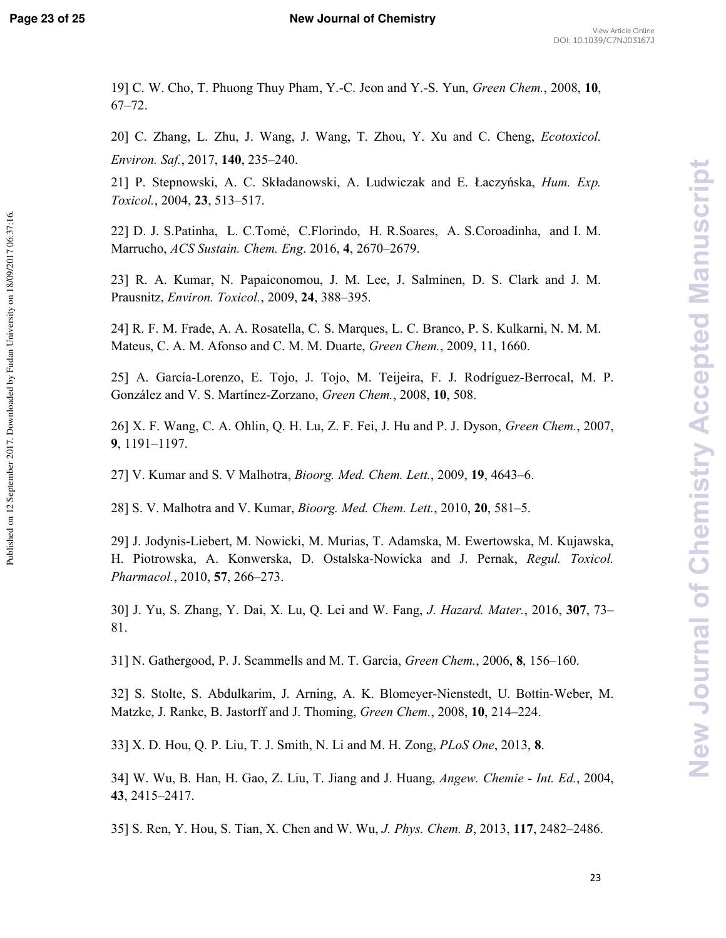Published on 12 September 2017. Downloaded by Fudan University on 18/09/2017 06:37:16.

19] C. W. Cho, T. Phuong Thuy Pham, Y.-C. Jeon and Y.-S. Yun, *Green Chem.*, 2008, 10, 67–72.

20] C. Zhang, L. Zhu, J. Wang, J. Wang, T. Zhou, Y. Xu and C. Cheng, *Ecotoxicol*. *Environ. Saf.*, 2017, **140**, 235–240.

21] P. Stepnowski, A. C. Składanowski, A. Ludwiczak and E. Łaczyńska, *Hum. Exp. Toxicol.*, 2004, 23, 513–517.

22] D. J. S.Patinha, L. C.Tomé, C.Florindo, H. R.Soares, A. S.Coroadinha, and I. M. Marrucho, *! - !* . 2016, **3**, 2670–2679.

23] R. A. Kumar, N. Papaiconomou, J. M. Lee, J. Salminen, D. S. Clark and J. M. Prausnitz, *Environ. Toxicol.*, 2009, 24, 388–395.

24] R. F. M. Frade, A. A. Rosatella, C. S. Marques, L. C. Branco, P. S. Kulkarni, N. M. M. Mateus, C. A. M. Afonso and C. M. M. Duarte, *Green Chem.*, 2009, 11, 1660.

25] A. García-Lorenzo, E. Tojo, J. Tojo, M. Teijeira, F. J. Rodríguez-Berrocal, M. P. González and V. S. Martínez-Zorzano, *Green Chem.*, 2008, 10, 508.

26] X. F. Wang, C. A. Ohlin, Q. H. Lu, Z. F. Fei, J. Hu and P. J. Dyson, *Green Chem.*, 2007, **0**, 1191–1197.

27] V. Kumar and S. V Malhotra, *Bioorg. Med. Chem. Lett.*, 2009, 19, 4643–6.

28] S. V. Malhotra and V. Kumar, *Bioorg. Med. Chem. Lett.*, 2010, 20, 581-5.

29] J. Jodynis2Liebert, M. Nowicki, M. Murias, T. Adamska, M. Ewertowska, M. Kujawska, H. Piotrowska, A. Konwerska, D. Ostalska-Nowicka and J. Pernak, Regul. Toxicol. *Pharmacol.*, 2010, 57, 266–273.

30] J. Yu, S. Zhang, Y. Dai, X. Lu, Q. Lei and W. Fang, *J. Hazard. Mater.*, 2016, 307, 73– 81.

31] N. Gathergood, P. J. Scammells and M. T. Garcia, *Green Chem.*, 2006, 8, 156–160.

32] S. Stolte, S. Abdulkarim, J. Arning, A. K. Blomeyer-Nienstedt, U. Bottin-Weber, M. Matzke, J. Ranke, B. Jastorff and J. Thoming, *Green Chem.*, 2008, 10, 214–224.

33] X. D. Hou, Q. P. Liu, T. J. Smith, N. Li and M. H. Zong, *PLoS One*, 2013, 8.

34] W. Wu, B. Han, H. Gao, Z. Liu, T. Jiang and J. Huang, *Angew. Chemie - Int. Ed.*, 2004, **3,**, 2415–2417.

35] S. Ren, Y. Hou, S. Tian, X. Chen and W. Wu, *J. Phys. Chem. B*, 2013, 117, 2482–2486.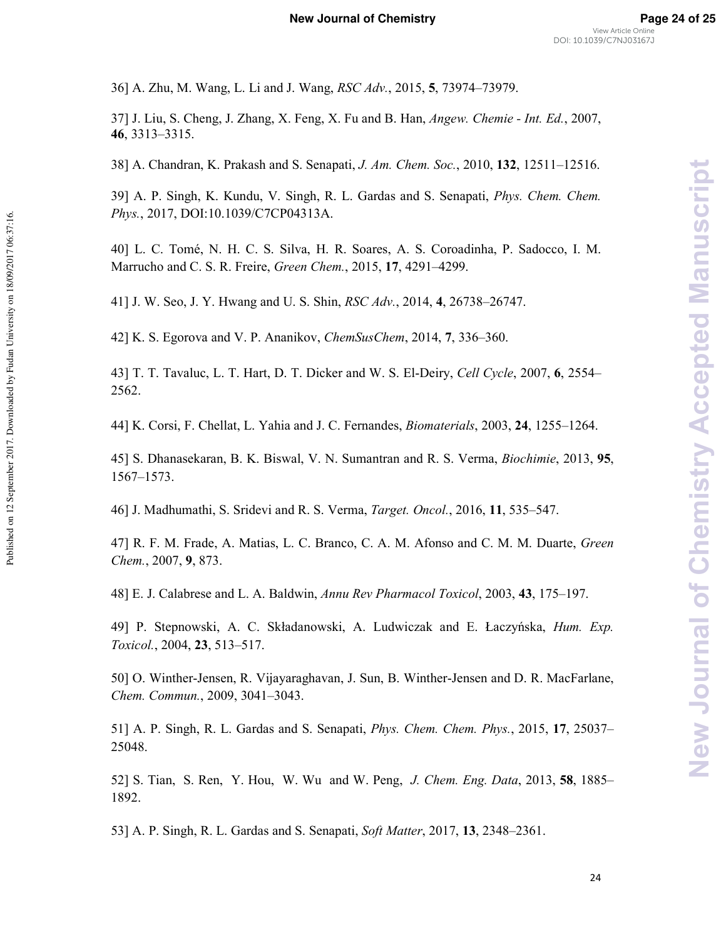36] A. Zhu, M. Wang, L. Li and J. Wang, *RSC Adv.*, 2015, 5, 73974–73979.

37] J. Liu, S. Cheng, J. Zhang, X. Feng, X. Fu and B. Han, *\* ! + ,* , 2007, **38**, 3313–3315.

38] A. Chandran, K. Prakash and S. Senapati, *J. Am. Chem. Soc.*, 2010, 132, 12511–12516.

39] A. P. Singh, K. Kundu, V. Singh, R. L. Gardas and S. Senapati, *Phys. Chem. Chem. #-*, 2017, DOI:10.1039/C7CP04313A.

40] L. C. Tomé, N. H. C. S. Silva, H. R. Soares, A. S. Coroadinha, P. Sadocco, I. M. Marrucho and C. S. R. Freire, *Green Chem.*, 2015, 17, 4291–4299.

41] J. W. Seo, J. Y. Hwang and U. S. Shin, *RSC Adv.*, 2014, 4, 26738–26747.

42] K. S. Egorova and V. P. Ananikov, *ChemSusChem*, 2014, 7, 336–360.

Published on 12 September 2017. Downloaded by Fudan University on 18/09/2017 06:37:16.

Published on 12 September 2017. Downloaded by Fudan University on 18/09/2017 06:37:16.

43] T. T. Tavaluc, L. T. Hart, D. T. Dicker and W. S. El-Deiry, *Cell Cycle*, 2007, 6, 2554– 2562.

44] K. Corsi, F. Chellat, L. Yahia and J. C. Fernandes, *Biomaterials*, 2003, 24, 1255–1264.

45] S. Dhanasekaran, B. K. Biswal, V. N. Sumantran and R. S. Verma, *Biochimie*, 2013, 95, 1567–1573.

46] J. Madhumathi, S. Sridevi and R. S. Verma, *Target. Oncol.*, 2016, 11, 535–547.

47] R. F. M. Frade, A. Matias, L. C. Branco, C. A. M. Afonso and C. M. M. Duarte, *Green !*, 2007, **0**, 873.

48] E. J. Calabrese and L. A. Baldwin,  *'%* , 2003, **3,**, 175–197.

49] P. Stepnowski, A. C. Składanowski, A. Ludwiczak and E. Łaczyńska, *Hum. Exp.* Toxicol., 2004, 23, 513–517.

50] O. Winther-Jensen, R. Vijayaraghavan, J. Sun, B. Winther-Jensen and D. R. MacFarlane, *! !*, 2009, 3041–3043.

51] A. P. Singh, R. L. Gardas and S. Senapati, *Phys. Chem. Chem. Phys.*, 2015, 17, 25037– 25048.

52] S. Tian, S. Ren, Y. Hou, W. Wu and W. Peng, *J. Chem. Eng. Data*, 2013, 58, 1885– 1892.

53] A. P. Singh, R. L. Gardas and S. Senapati, *Soft Matter*, 2017, **13**, 2348–2361.